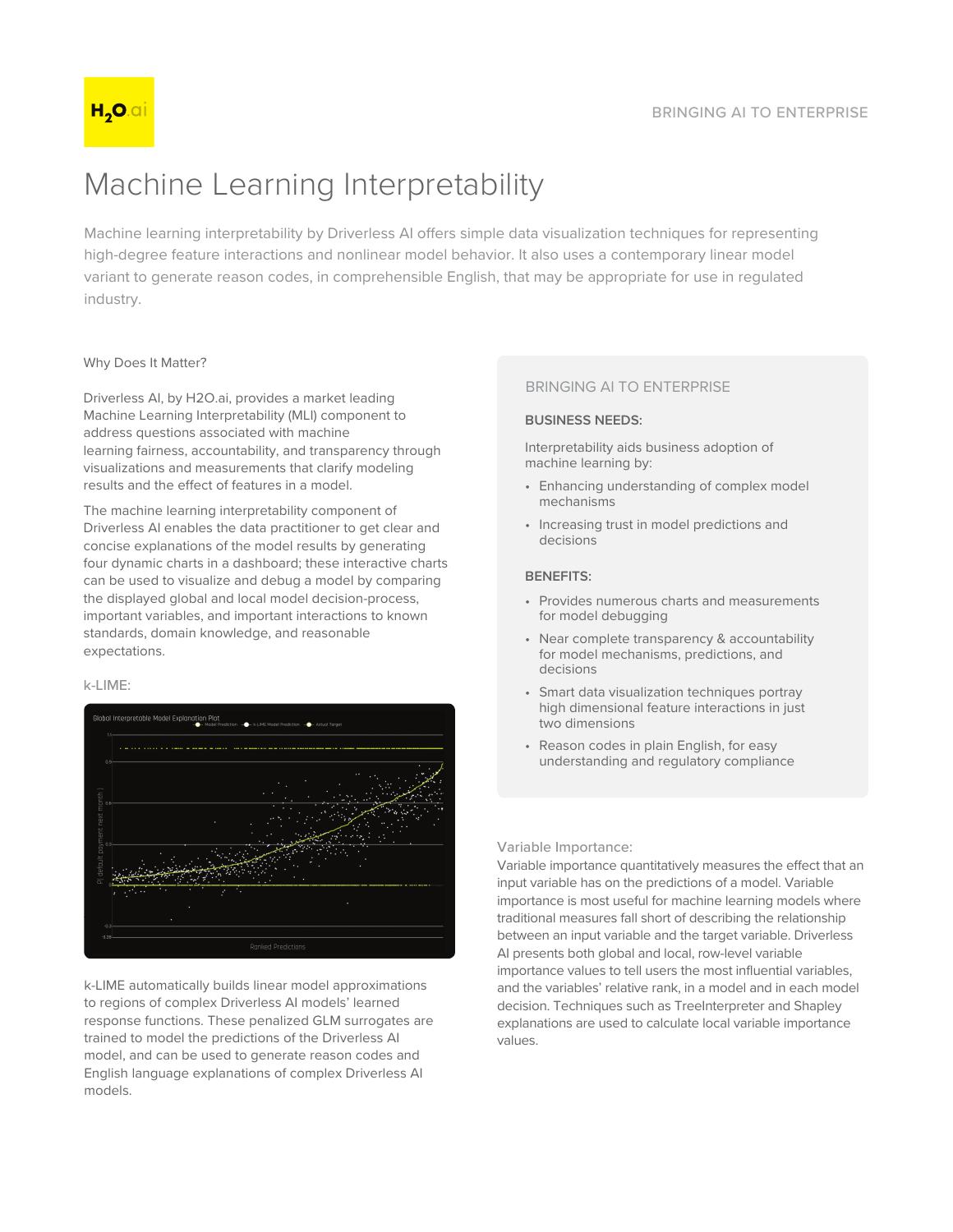# Machine Learning Interpretability

Machine learning interpretability by Driverless AI offers simple data visualization techniques for representing high-degree feature interactions and nonlinear model behavior. It also uses a contemporary linear model variant to generate reason codes, in comprehensible English, that may be appropriate for use in regulated industry.

# Why Does It Matter?

Driverless AI, by H2O.ai, provides a market leading Machine Learning Interpretability (MLI) component to address questions associated with machine learning fairness, accountability, and transparency through visualizations and measurements that clarify modeling results and the effect of features in a model.

The machine learning interpretability component of Driverless AI enables the data practitioner to get clear and concise explanations of the model results by generating four dynamic charts in a dashboard; these interactive charts can be used to visualize and debug a model by comparing the displayed global and local model decision-process, important variables, and important interactions to known standards, domain knowledge, and reasonable expectations.

## k-LIME:



k-LIME automatically builds linear model approximations to regions of complex Driverless AI models' learned response functions. These penalized GLM surrogates are trained to model the predictions of the Driverless AI model, and can be used to generate reason codes and English language explanations of complex Driverless Al models.

# **BRINGING AI TO ENTERPRISE**

#### **BUSINESS NEEDS:**

Interpretability aids business adoption of machine learning by:

- Enhancing understanding of complex model mechanisms
- Increasing trust in model predictions and decisions

## **BENEFITS:**

- Provides numerous charts and measurements for model debugging
- Near complete transparency & accountability for model mechanisms, predictions, and decisions
- Smart data visualization techniques portray high dimensional feature interactions in just two dimensions
- Reason codes in plain English, for easy understanding and regulatory compliance

## Variable Importance:

Variable importance quantitatively measures the effect that an input variable has on the predictions of a model. Variable importance is most useful for machine learning models where traditional measures fall short of describing the relationship between an input variable and the target variable. Driverless Al presents both global and local, row-level variable importance values to tell users the most influential variables. and the variables' relative rank, in a model and in each model decision. Techniques such as TreeInterpreter and Shapley explanations are used to calculate local variable importance values.